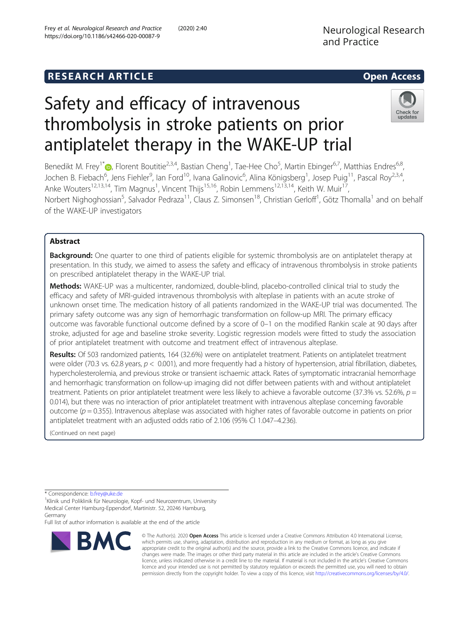## **RESEARCH ARTICLE Example 2014 12:30 The SEAR CH ACCESS**

# Safety and efficacy of intravenous thrombolysis in stroke patients on prior antiplatelet therapy in the WAKE-UP trial



Benedikt M. Frey<sup>1\*</sup>®[,](http://orcid.org/0000-0002-5302-0801) Florent Boutitie<sup>2,3,4</sup>, Bastian Cheng<sup>1</sup>, Tae-Hee Cho<sup>5</sup>, Martin Ebinger<sup>6,7</sup>, Matthias Endres<sup>6,8</sup>, Jochen B. Fiebach<sup>6</sup>, Jens Fiehler<sup>9</sup>, Ian Ford<sup>10</sup>, Ivana Galinovic<sup>6</sup>, Alina Königsberg<sup>1</sup>, Josep Puig<sup>11</sup>, Pascal Roy<sup>2,3,4</sup>, Anke Wouters<sup>12,13,14</sup>, Tim Magnus<sup>1</sup>, Vincent Thijs<sup>15,16</sup>, Robin Lemmens<sup>12,13,14</sup>, Keith W. Muir<sup>17</sup>, Norbert Nighoghossian<sup>5</sup>, Salvador Pedraza<sup>11</sup>, Claus Z. Simonsen<sup>18</sup>, Christian Gerloff<sup>1</sup>, Götz Thomalla<sup>1</sup> and on behalf of the WAKE-UP investigators

## Abstract

Background: One quarter to one third of patients eligible for systemic thrombolysis are on antiplatelet therapy at presentation. In this study, we aimed to assess the safety and efficacy of intravenous thrombolysis in stroke patients on prescribed antiplatelet therapy in the WAKE-UP trial.

Methods: WAKE-UP was a multicenter, randomized, double-blind, placebo-controlled clinical trial to study the efficacy and safety of MRI-guided intravenous thrombolysis with alteplase in patients with an acute stroke of unknown onset time. The medication history of all patients randomized in the WAKE-UP trial was documented. The primary safety outcome was any sign of hemorrhagic transformation on follow-up MRI. The primary efficacy outcome was favorable functional outcome defined by a score of 0–1 on the modified Rankin scale at 90 days after stroke, adjusted for age and baseline stroke severity. Logistic regression models were fitted to study the association of prior antiplatelet treatment with outcome and treatment effect of intravenous alteplase.

Results: Of 503 randomized patients, 164 (32.6%) were on antiplatelet treatment. Patients on antiplatelet treatment were older (70.3 vs. 62.8 years,  $p < 0.001$ ), and more frequently had a history of hypertension, atrial fibrillation, diabetes, hypercholesterolemia, and previous stroke or transient ischaemic attack. Rates of symptomatic intracranial hemorrhage and hemorrhagic transformation on follow-up imaging did not differ between patients with and without antiplatelet treatment. Patients on prior antiplatelet treatment were less likely to achieve a favorable outcome (37.3% vs. 52.6%,  $p =$ 0.014), but there was no interaction of prior antiplatelet treatment with intravenous alteplase concerning favorable outcome ( $p = 0.355$ ). Intravenous alteplase was associated with higher rates of favorable outcome in patients on prior antiplatelet treatment with an adjusted odds ratio of 2.106 (95% CI 1.047–4.236).

(Continued on next page)

\* Correspondence: [b.frey@uke.de](mailto:b.frey@uke.de) <sup>1</sup>

<sup>1</sup>Klinik und Poliklinik für Neurologie, Kopf- und Neurozentrum, University Medical Center Hamburg-Eppendorf, Martinistr. 52, 20246 Hamburg, Germany

Full list of author information is available at the end of the article



© The Author(s). 2020 Open Access This article is licensed under a Creative Commons Attribution 4.0 International License, which permits use, sharing, adaptation, distribution and reproduction in any medium or format, as long as you give appropriate credit to the original author(s) and the source, provide a link to the Creative Commons licence, and indicate if changes were made. The images or other third party material in this article are included in the article's Creative Commons licence, unless indicated otherwise in a credit line to the material. If material is not included in the article's Creative Commons licence and your intended use is not permitted by statutory regulation or exceeds the permitted use, you will need to obtain permission directly from the copyright holder. To view a copy of this licence, visit [http://creativecommons.org/licenses/by/4.0/.](http://creativecommons.org/licenses/by/4.0/)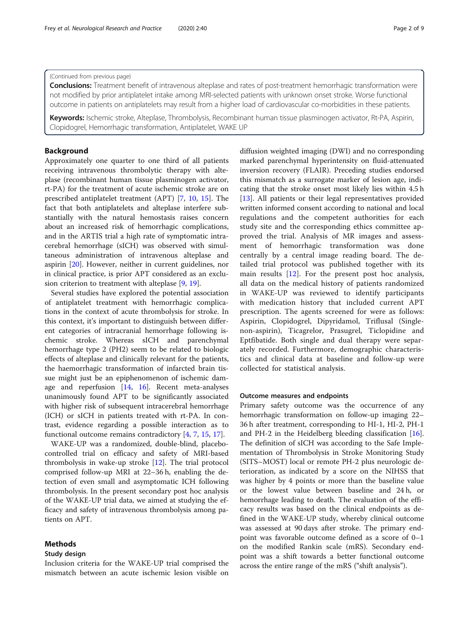## (Continued from previous page)

Conclusions: Treatment benefit of intravenous alteplase and rates of post-treatment hemorrhagic transformation were not modified by prior antiplatelet intake among MRI-selected patients with unknown onset stroke. Worse functional outcome in patients on antiplatelets may result from a higher load of cardiovascular co-morbidities in these patients.

Keywords: Ischemic stroke, Alteplase, Thrombolysis, Recombinant human tissue plasminogen activator, Rt-PA, Aspirin, Clopidogrel, Hemorrhagic transformation, Antiplatelet, WAKE UP

#### Background

Approximately one quarter to one third of all patients receiving intravenous thrombolytic therapy with alteplase (recombinant human tissue plasminogen activator, rt-PA) for the treatment of acute ischemic stroke are on prescribed antiplatelet treatment (APT) [[7](#page-7-0), [10](#page-8-0), [15](#page-8-0)]. The fact that both antiplatelets and alteplase interfere substantially with the natural hemostasis raises concern about an increased risk of hemorrhagic complications, and in the ARTIS trial a high rate of symptomatic intracerebral hemorrhage (sICH) was observed with simultaneous administration of intravenous alteplase and aspirin [\[20\]](#page-8-0). However, neither in current guidelines, nor in clinical practice, is prior APT considered as an exclusion criterion to treatment with alteplase [\[9](#page-7-0), [19](#page-8-0)].

Several studies have explored the potential association of antiplatelet treatment with hemorrhagic complications in the context of acute thrombolysis for stroke. In this context, it's important to distinguish between different categories of intracranial hemorrhage following ischemic stroke. Whereas sICH and parenchymal hemorrhage type 2 (PH2) seem to be related to biologic effects of alteplase and clinically relevant for the patients, the haemorrhagic transformation of infarcted brain tissue might just be an epiphenomenon of ischemic damage and reperfusion  $[14, 16]$  $[14, 16]$  $[14, 16]$  $[14, 16]$ . Recent meta-analyses unanimously found APT to be significantly associated with higher risk of subsequent intracerebral hemorrhage (ICH) or sICH in patients treated with rt-PA. In contrast, evidence regarding a possible interaction as to functional outcome remains contradictory [[4,](#page-7-0) [7,](#page-7-0) [15](#page-8-0), [17](#page-8-0)].

WAKE-UP was a randomized, double-blind, placebocontrolled trial on efficacy and safety of MRI-based thrombolysis in wake-up stroke [\[12](#page-8-0)]. The trial protocol comprised follow-up MRI at 22–36 h, enabling the detection of even small and asymptomatic ICH following thrombolysis. In the present secondary post hoc analysis of the WAKE-UP trial data, we aimed at studying the efficacy and safety of intravenous thrombolysis among patients on APT.

#### Methods

### Study design

Inclusion criteria for the WAKE-UP trial comprised the mismatch between an acute ischemic lesion visible on diffusion weighted imaging (DWI) and no corresponding marked parenchymal hyperintensity on fluid-attenuated inversion recovery (FLAIR). Preceding studies endorsed this mismatch as a surrogate marker of lesion age, indicating that the stroke onset most likely lies within 4.5 h [[13\]](#page-8-0). All patients or their legal representatives provided written informed consent according to national and local regulations and the competent authorities for each study site and the corresponding ethics committee approved the trial. Analysis of MR images and assessment of hemorrhagic transformation was done centrally by a central image reading board. The detailed trial protocol was published together with its main results [[12\]](#page-8-0). For the present post hoc analysis, all data on the medical history of patients randomized in WAKE-UP was reviewed to identify participants with medication history that included current APT prescription. The agents screened for were as follows: Aspirin, Clopidogrel, Dipyridamol, Triflusal (Singlenon-aspirin), Ticagrelor, Prasugrel, Ticlopidine and Eptfibatide. Both single and dual therapy were separately recorded. Furthermore, demographic characteristics and clinical data at baseline and follow-up were collected for statistical analysis.

#### Outcome measures and endpoints

Primary safety outcome was the occurrence of any hemorrhagic transformation on follow-up imaging 22– 36 h after treatment, corresponding to HI-1, HI-2, PH-1 and PH-2 in the Heidelberg bleeding classification [\[16](#page-8-0)]. The definition of sICH was according to the Safe Implementation of Thrombolysis in Stroke Monitoring Study (SITS–MOST) local or remote PH-2 plus neurologic deterioration, as indicated by a score on the NIHSS that was higher by 4 points or more than the baseline value or the lowest value between baseline and 24 h, or hemorrhage leading to death. The evaluation of the efficacy results was based on the clinical endpoints as defined in the WAKE-UP study, whereby clinical outcome was assessed at 90 days after stroke. The primary endpoint was favorable outcome defined as a score of 0–1 on the modified Rankin scale (mRS). Secondary endpoint was a shift towards a better functional outcome across the entire range of the mRS ("shift analysis").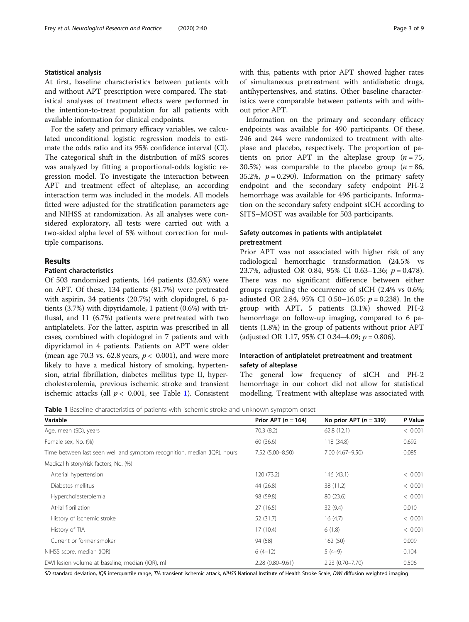#### Statistical analysis

At first, baseline characteristics between patients with and without APT prescription were compared. The statistical analyses of treatment effects were performed in the intention-to-treat population for all patients with available information for clinical endpoints.

For the safety and primary efficacy variables, we calculated unconditional logistic regression models to estimate the odds ratio and its 95% confidence interval (CI). The categorical shift in the distribution of mRS scores was analyzed by fitting a proportional-odds logistic regression model. To investigate the interaction between APT and treatment effect of alteplase, an according interaction term was included in the models. All models fitted were adjusted for the stratification parameters age and NIHSS at randomization. As all analyses were considered exploratory, all tests were carried out with a two-sided alpha level of 5% without correction for multiple comparisons.

### Results

## Patient characteristics

Of 503 randomized patients, 164 patients (32.6%) were on APT. Of these, 134 patients (81.7%) were pretreated with aspirin, 34 patients (20.7%) with clopidogrel, 6 patients (3.7%) with dipyridamole, 1 patient (0.6%) with triflusal, and 11 (6.7%) patients were pretreated with two antiplatelets. For the latter, aspirin was prescribed in all cases, combined with clopidogrel in 7 patients and with dipyridamol in 4 patients. Patients on APT were older (mean age 70.3 vs. 62.8 years,  $p < 0.001$ ), and were more likely to have a medical history of smoking, hypertension, atrial fibrillation, diabetes mellitus type II, hypercholesterolemia, previous ischemic stroke and transient ischemic attacks (all  $p < 0.001$ , see Table 1). Consistent with this, patients with prior APT showed higher rates of simultaneous pretreatment with antidiabetic drugs, antihypertensives, and statins. Other baseline characteristics were comparable between patients with and without prior APT.

Information on the primary and secondary efficacy endpoints was available for 490 participants. Of these, 246 and 244 were randomized to treatment with alteplase and placebo, respectively. The proportion of patients on prior APT in the alteplase group  $(n = 75,$ 30.5%) was comparable to the placebo group ( $n = 86$ , 35.2%,  $p = 0.290$ ). Information on the primary safety endpoint and the secondary safety endpoint PH-2 hemorrhage was available for 496 participants. Information on the secondary safety endpoint sICH according to SITS–MOST was available for 503 participants.

## Safety outcomes in patients with antiplatelet pretreatment

Prior APT was not associated with higher risk of any radiological hemorrhagic transformation (24.5% vs 23.7%, adjusted OR 0.84, 95% CI 0.63-1.36;  $p = 0.478$ ). There was no significant difference between either groups regarding the occurrence of sICH (2.4% vs 0.6%; adjusted OR 2.84, 95% CI 0.50–16.05;  $p = 0.238$ ). In the group with APT, 5 patients (3.1%) showed PH-2 hemorrhage on follow-up imaging, compared to 6 patients (1.8%) in the group of patients without prior APT (adjusted OR 1.17, 95% CI 0.34–4.09;  $p = 0.806$ ).

## Interaction of antiplatelet pretreatment and treatment safety of alteplase

The general low frequency of sICH and PH-2 hemorrhage in our cohort did not allow for statistical modelling. Treatment with alteplase was associated with

**Table 1** Baseline characteristics of patients with ischemic stroke and unknown symptom onset

| Variable                                                                 | Prior APT ( $n = 164$ ) | No prior APT $(n = 339)$ | P Value |
|--------------------------------------------------------------------------|-------------------------|--------------------------|---------|
| Age, mean (SD), years                                                    | 70.3(8.2)               | 62.8(12.1)               | < 0.001 |
| Female sex, No. (%)                                                      | 60(36.6)                | 118 (34.8)               | 0.692   |
| Time between last seen well and symptom recognition, median (IQR), hours | 7.52 (5.00-8.50)        | 7.00 (4.67-9.50)         | 0.085   |
| Medical history/risk factors, No. (%)                                    |                         |                          |         |
| Arterial hypertension                                                    | 120 (73.2)              | 146 (43.1)               | < 0.001 |
| Diabetes mellitus                                                        | 44 (26.8)               | 38 (11.2)                | < 0.001 |
| Hypercholesterolemia                                                     | 98 (59.8)               | 80 (23.6)                | < 0.001 |
| Atrial fibrillation                                                      | 27(16.5)                | 32(9.4)                  | 0.010   |
| History of ischemic stroke                                               | 52 (31.7)               | 16(4.7)                  | < 0.001 |
| History of TIA                                                           | 17(10.4)                | 6(1.8)                   | < 0.001 |
| Current or former smoker                                                 | 94 (58)                 | 162(50)                  | 0.009   |
| NIHSS score, median (IQR)                                                | $6(4-12)$               | $5(4-9)$                 | 0.104   |
| DWI lesion volume at baseline, median (IQR), ml                          | 2.28 (0.80-9.61)        | $2.23(0.70 - 7.70)$      | 0.506   |

SD standard deviation, IQR interquartile range, TIA transient ischemic attack, NIHSS National Institute of Health Stroke Scale, DWI diffusion weighted imaging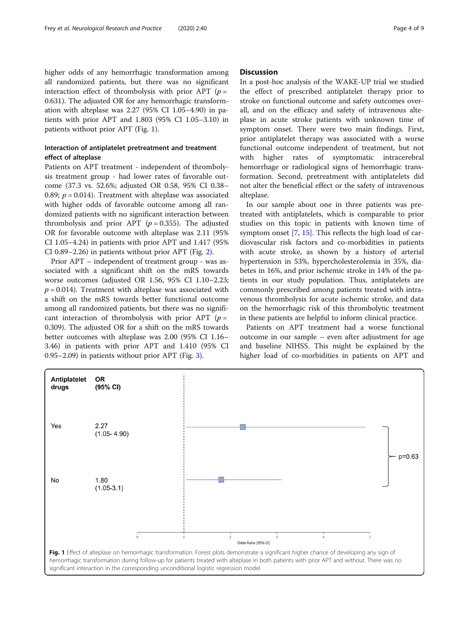higher odds of any hemorrhagic transformation among all randomized patients, but there was no significant interaction effect of thrombolysis with prior APT ( $p =$ 0.631). The adjusted OR for any hemorrhagic transformation with alteplase was 2.27 (95% CI 1.05–4.90) in patients with prior APT and 1.803 (95% CI 1.05–3.10) in patients without prior APT (Fig. 1).

## Interaction of antiplatelet pretreatment and treatment effect of alteplase

Patients on APT treatment - independent of thrombolysis treatment group - had lower rates of favorable outcome (37.3 vs. 52.6%; adjusted OR 0.58, 95% CI 0.38– 0.89;  $p = 0.014$ ). Treatment with alteplase was associated with higher odds of favorable outcome among all randomized patients with no significant interaction between thrombolysis and prior APT ( $p = 0.355$ ). The adjusted OR for favorable outcome with alteplase was 2.11 (95% CI 1.05–4.24) in patients with prior APT and 1.417 (95% CI 0.89–2.26) in patients without prior APT (Fig. [2](#page-4-0)).

Prior APT – independent of treatment group - was associated with a significant shift on the mRS towards worse outcomes (adjusted OR 1.56, 95% CI 1.10–2.23;  $p = 0.014$ ). Treatment with alteplase was associated with a shift on the mRS towards better functional outcome among all randomized patients, but there was no significant interaction of thrombolysis with prior APT ( $p =$ 0.309). The adjusted OR for a shift on the mRS towards better outcomes with alteplase was 2.00 (95% CI 1.16– 3.46) in patients with prior APT and 1.410 (95% CI 0.95–2.09) in patients without prior APT (Fig. [3\)](#page-4-0).

#### **Discussion**

In a post-hoc analysis of the WAKE-UP trial we studied the effect of prescribed antiplatelet therapy prior to stroke on functional outcome and safety outcomes overall, and on the efficacy and safety of intravenous alteplase in acute stroke patients with unknown time of symptom onset. There were two main findings. First, prior antiplatelet therapy was associated with a worse functional outcome independent of treatment, but not with higher rates of symptomatic intracerebral hemorrhage or radiological signs of hemorrhagic transformation. Second, pretreatment with antiplatelets did not alter the beneficial effect or the safety of intravenous alteplase.

In our sample about one in three patients was pretreated with antiplatelets, which is comparable to prior studies on this topic in patients with known time of symptom onset [[7,](#page-7-0) [15](#page-8-0)]. This reflects the high load of cardiovascular risk factors and co-morbidities in patients with acute stroke, as shown by a history of arterial hypertension in 53%, hypercholesterolemia in 35%, diabetes in 16%, and prior ischemic stroke in 14% of the patients in our study population. Thus, antiplatelets are commonly prescribed among patients treated with intravenous thrombolysis for acute ischemic stroke, and data on the hemorrhagic risk of this thrombolytic treatment in these patients are helpful to inform clinical practice.

Patients on APT treatment had a worse functional outcome in our sample – even after adjustment for age and baseline NIHSS. This might be explained by the higher load of co-morbidities in patients on APT and

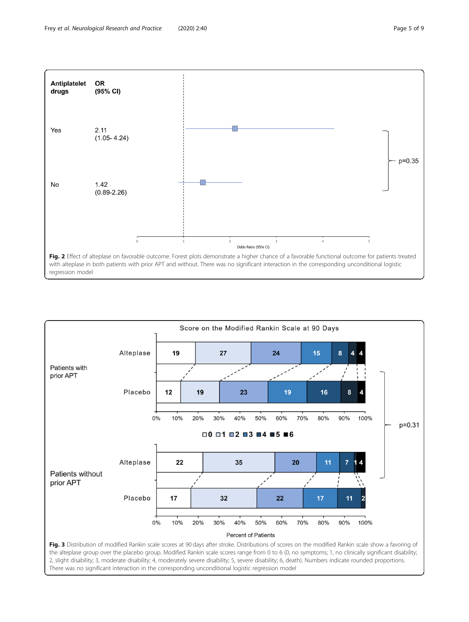<span id="page-4-0"></span>

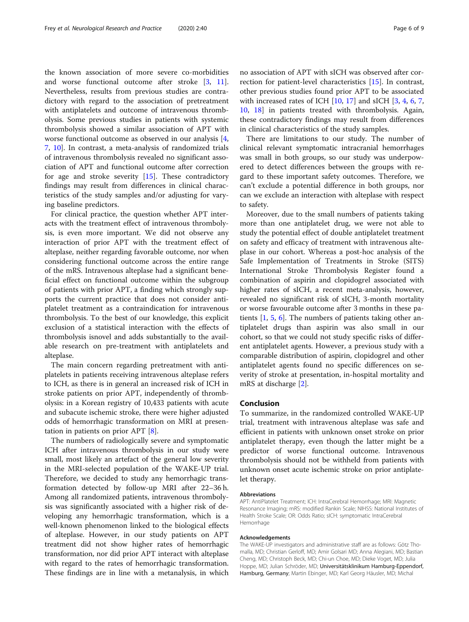the known association of more severe co-morbidities and worse functional outcome after stroke [\[3](#page-7-0), [11](#page-8-0)]. Nevertheless, results from previous studies are contradictory with regard to the association of pretreatment with antiplatelets and outcome of intravenous thrombolysis. Some previous studies in patients with systemic thrombolysis showed a similar association of APT with worse functional outcome as observed in our analysis [\[4](#page-7-0), [7,](#page-7-0) [10](#page-8-0)]. In contrast, a meta-analysis of randomized trials of intravenous thrombolysis revealed no significant association of APT and functional outcome after correction for age and stroke severity [[15\]](#page-8-0). These contradictory findings may result from differences in clinical characteristics of the study samples and/or adjusting for varying baseline predictors.

For clinical practice, the question whether APT interacts with the treatment effect of intravenous thrombolysis, is even more important. We did not observe any interaction of prior APT with the treatment effect of alteplase, neither regarding favorable outcome, nor when considering functional outcome across the entire range of the mRS. Intravenous alteplase had a significant beneficial effect on functional outcome within the subgroup of patients with prior APT, a finding which strongly supports the current practice that does not consider antiplatelet treatment as a contraindication for intravenous thrombolysis. To the best of our knowledge, this explicit exclusion of a statistical interaction with the effects of thrombolysis isnovel and adds substantially to the available research on pre-treatment with antiplatelets and alteplase.

The main concern regarding pretreatment with antiplatelets in patients receiving intravenous alteplase refers to ICH, as there is in general an increased risk of ICH in stroke patients on prior APT, independently of thrombolysis: in a Korean registry of 10,433 patients with acute and subacute ischemic stroke, there were higher adjusted odds of hemorrhagic transformation on MRI at presentation in patients on prior APT [\[8](#page-7-0)].

The numbers of radiologically severe and symptomatic ICH after intravenous thrombolysis in our study were small, most likely an artefact of the general low severity in the MRI-selected population of the WAKE-UP trial. Therefore, we decided to study any hemorrhagic transformation detected by follow-up MRI after 22–36 h. Among all randomized patients, intravenous thrombolysis was significantly associated with a higher risk of developing any hemorrhagic transformation, which is a well-known phenomenon linked to the biological effects of alteplase. However, in our study patients on APT treatment did not show higher rates of hemorrhagic transformation, nor did prior APT interact with alteplase with regard to the rates of hemorrhagic transformation. These findings are in line with a metanalysis, in which no association of APT with sICH was observed after correction for patient-level characteristics [[15\]](#page-8-0). In contrast, other previous studies found prior APT to be associated with increased rates of ICH  $[10, 17]$  $[10, 17]$  $[10, 17]$  $[10, 17]$  and sICH  $[3, 4, 6, 7,$  $[3, 4, 6, 7,$  $[3, 4, 6, 7,$  $[3, 4, 6, 7,$  $[3, 4, 6, 7,$  $[3, 4, 6, 7,$  $[3, 4, 6, 7,$  $[3, 4, 6, 7,$ [10,](#page-8-0) [18](#page-8-0)] in patients treated with thrombolysis. Again, these contradictory findings may result from differences in clinical characteristics of the study samples.

There are limitations to our study. The number of clinical relevant symptomatic intracranial hemorrhages was small in both groups, so our study was underpowered to detect differences between the groups with regard to these important safety outcomes. Therefore, we can't exclude a potential difference in both groups, nor can we exclude an interaction with alteplase with respect to safety.

Moreover, due to the small numbers of patients taking more than one antiplatelet drug, we were not able to study the potential effect of double antiplatelet treatment on safety and efficacy of treatment with intravenous alteplase in our cohort. Whereas a post-hoc analysis of the Safe Implementation of Treatments in Stroke (SITS) International Stroke Thrombolysis Register found a combination of aspirin and clopidogrel associated with higher rates of sICH, a recent meta-analysis, however, revealed no significant risk of sICH, 3-month mortality or worse favourable outcome after 3 months in these patients [[1](#page-7-0), [5,](#page-7-0) [6\]](#page-7-0). The numbers of patients taking other antiplatelet drugs than aspirin was also small in our cohort, so that we could not study specific risks of different antiplatelet agents. However, a previous study with a comparable distribution of aspirin, clopidogrel and other antiplatelet agents found no specific differences on severity of stroke at presentation, in-hospital mortality and mRS at discharge [[2\]](#page-7-0).

#### Conclusion

To summarize, in the randomized controlled WAKE-UP trial, treatment with intravenous alteplase was safe and efficient in patients with unknown onset stroke on prior antiplatelet therapy, even though the latter might be a predictor of worse functional outcome. Intravenous thrombolysis should not be withheld from patients with unknown onset acute ischemic stroke on prior antiplatelet therapy.

#### Abbreviations

APT: AntiPlatelet Treatment; ICH: IntraCerebral Hemorrhage; MRI: Magnetic Resonance Imaging; mRS: modified Rankin Scale; NIHSS: National Institutes of Health Stroke Scale; OR: Odds Ratio; sICH: symptomatic IntraCerebral Hemorrhage

#### Acknowledgements

The WAKE-UP investigators and administrative staff are as follows: Götz Thomalla, MD; Christian Gerloff, MD; Amir Golsari MD; Anna Alegiani, MD; Bastian Cheng, MD; Christoph Beck, MD; Chi-un Choe, MD; Dieke Voget, MD; Julia Hoppe, MD; Julian Schröder, MD; Universitätsklinikum Hamburg-Eppendorf, Hamburg, Germany; Martin Ebinger, MD; Karl Georg Häusler, MD; Michal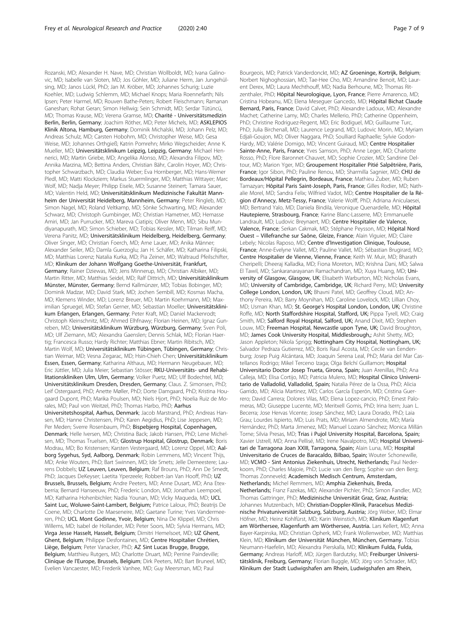Rozanski, MD; Alexander H. Nave, MD; Christian Wollboldt, MD; Ivana Galinovic, MD; Isabelle van Sloten, MD; Jos Göhler, MD; Juliane Herm, Jan Jungehülsing, MD; Janos Lückl, PhD; Jan M. Kröber, MD; Johannes Schurig; Luzie Koehler, MD; Ludwig Schlemm, MD; Michael Knops; Maria Roennefarth; Nils Ipsen; Peter Harmel, MD; Rouven Bathe-Peters; Robert Fleischmann; Ramanan Ganeshan; Rohat Geran; Simon Hellwig; Sein Schmidt, MD; Serdar Tütüncü, MD; Thomas Krause, MD; Verena Gramse, MD; Charité - Universitätsmedizin Berlin, Berlin, Germany; Joachim Röther, MD; Peter Michels, MD; ASKLEPIOS Klinik Altona, Hamburg, Germany; Dominik Michalski, MD; Johann Pelz, MD; Andreas Schulz, MD; Carsten Hobohm, MD; Christopher Weise, MD; Gesa Weise, MD; Johannes Orthgieß; Katrin Pomrehn; Mirko Wegscheider; Anne K. Mueller, MD; Universitätsklinikum Leipzig, Leipzig, Germany; Michael Hennerici, MD; Martin Griebe, MD; Angelika Alonso, MD; Alexandra Filipov, MD; Annika Marzina, MD; Bettina Anders, Christian Bähr, Carolin Hoyer, MD; Christopher Schwarzbach, MD; Claudia Weber; Eva Hornberger, MD; Hans-Werner Pledl, MD; Matti Klockziem; Markus Stuermlinger, MD; Matthias Wittayer; Marc Wolf, MD; Nadja Meyer; Philipp Eisele, MD; Susanne Steinert; Tamara Sauer, MD; Valentin Held, MD; Universitätsklinikum Medizinische Fakultät Mannheim der Universität Heidelberg, Mannheim, Germany; Peter Ringleb, MD; Simon Nagel, MD; Roland Veltkamp, MD; Sönke Schwarting, MD; Alexander Schwarz, MD; Christoph Gumbinger, MD; Christian Hametner, MD; Hemasse Amiri, MD; Jan Purrucker, MD; Mareva Ciatipis; Oliver Menn, MD; Sibu Mundiyanapurath, MD; Simon Schieber, MD; Tobias Kessler, MD; Tilman Reiff, MD; Verena Panitz, MD; Universitätsklinikum Heidelberg, Heidelberg, Germany; Oliver Singer, MD; Christian Foerch, MD; Arne Lauer, MD; Anika Männer; Alexander Seiler, MD; Damla Guerzoglu; Jan H. Schäfer, MD; Katharina Filipski, MD; Matthias Lorenz; Natalia Kurka, MD; Pia Zeiner, MD; Waltraud Pfeilschifter, MD; Klinikum der Johann Wolfgang Goethe-Universität, Frankfurt, Germany; Rainer Dziewas, MD; Jens Minnerup, MD; Christian Albiker, MD; Martin Ritter, MD; Matthias Seidel, MD; Ralf Dittrich, MD; Universitätsklinikum Münster, Münster, Germany; Bernd Kallmünzer, MD; Tobias Bobinger, MD; Dominik Madzar, MD; David Stark, MD; Jochen Sembill, MD; Kosmas Macha, MD; Klemens Winder, MD; Lorenz Breuer, MD; Martin Koehrmann, MD; Maximilian Spruegel, MD; Stefan Gerner, MD; Sebastian Moeller; Universitätsklinikum Erlangen, Erlangen, Germany; Peter Kraft, MD; Daniel Mackenrodt; Christoph Kleinschnitz, MD; Ahmed Elhfnawy; Florian Heinen, MD; Ignaz Gunreben, MD; Universitätsklinikum Würzburg, Würzburg, Germany; Sven Poli, MD; Ulf Ziemann, MD; Alexandra Gaenslen; Dennis Schlak, MD; Florian Haertig; Francesca Russo; Hardy Richter; Matthias Ebner; Martin Ribitsch, MD; Martin Wolf, MD; Universitätsklinikum Tübingen, Tübingen, Germany; Christian Weimar, MD; Vesna Zegarac, MD; Hsin-Chieh Chen; Universitätsklinikum Essen, Essen, Germany; Katharina Althaus, MD; Hermann Neugebauer, MD; Eric Jüttler, MD; Julia Meier; Sebastian Stösser; RKU-Universitäts- und Rehabilitationskliniken Ulm, Ulm, Germany; Volker Puetz, MD; Ulf Bodechtel, MD; Universitätsklinikum Dresden, Dresden, Germany; Claus. Z. Simonsen, PhD; Leif Ostergaard, PhD; Anette Møller, PhD; Dorte Damgaard, PhD; Kristina Hougaard Dupont, PhD; Marika Poulsen, MD; Niels Hjort, PhD; Noelia Ruiz de Morales, MD; Paul von Weitzel, PhD; Thomas Harbo, PhD; Aarhus Universitetshospital, Aarhus, Denmark; Jacob Marstrand, PhD; Andreas Hansen, MD; Hanne Christensen, PhD; Karen Aegidius, PhD; Lise Jeppesen, MD; Per Meden; Sverre Rosenbaum, PhD; Bispebjerg Hospital, Copenhagen, Denmark; Helle Iversen, MD; Christina Back; Jakob Hansen, PhD; Lene Michelsen, MD; Thomas Truelsen, MD; Glostrup Hospital, Glostrup, Denmark; Boris Modrau, MD; Bo Kristensen; Karsten Vestergaard, MD; Lorenz Oppel, MD; Aalborg Sygehus, Syd, Aalborg, Denmark; Robin Lemmens, MD; Vincent Thijs, MD; Anke Wouters, PhD; Bart Swinnen, MD; Ide Smets; Jelle Demeestere; Laurens Dobbels; UZ Leuven, Leuven, Belgium; Raf Brouns, PhD; Ann De Smedt, PhD; Jacques DeKeyser; Laetita Yperzeele; Robbert-Jan Van Hooff, PhD; UZ Brussels, Brussels, Belgium; Andre Peeters, MD; Anne Dusart, MD; Ana Etexberria; Bernard Hanseeuw, PhD; Frederic London, MD; Jonathan Leempoel, MD; Katharina Hohenbichler; Nadia Younan, MD; Vicky Maqueda, MD; UCL Saint Luc, Woluwe-Saint-Lambert, Belgium; Patrice Laloux, PhD; Beatrijs De Coene, MD; Charlotte De Maeseneire, MD; Gaetane Turine; Yves Vandermeeren, PhD; UCL Mont Godinne, Yvoir, Belgium; Nina De Klippel, MD; Chris Willems, MD; Isabel de Hollander, MD; Peter Soors, MD; Sylvia Hermans, MD; Virga Jesse Hasselt, Hasselt, Belgium; Dimitri Hemelsoet, MD; UZ Ghent, Ghent, Belgium; Philippe Desfontaines, MD; Centre Hospitalier Chrétien, Liège, Belgium; Peter Vanacker, PhD; AZ Sint Lucas Brugge, Brugge, Belgium; Matthieu Rutgers, MD; Charlotte Druart, MD; Perrine Paindeville; Clinique de l'Europe, Brussels, Belgium; Dirk Peeters, MD; Bart Bruneel, MD; Evelien Vancaester, MD; Frederik Vanhee, MD; Guy Meersman, MD; Paul

Bourgeois, MD; Patrick Vanderdonckt, MD; AZ Groeninge, Kortrijk, Belgium; Norbert Nighoghossian, MD; Tae-Hee Cho, MD; Amandine Benoit, MD; Laurent Derex, MD; Laura Mechthouff, MD; Nadia Berhoune, MD; Thomas Ritzenthaler, PhD; Hôpital Neurologique, Lyon, France; Pierre Amarenco, MD; Cristina Hobeanu, MD; Elena Meseguer Gancedo, MD; Hôpital Bichat Claude Bernard, Paris, France; David Calvet, PhD; Alexandre Ladoux, MD; Alexandre Machet; Catherine Lamy, MD; Charles Mellerio, PhD; Catherine Oppenheim, PhD; Christine Rodriguez-Regent, MD; Eric Bodiguel, MD; Guillaume Turc, PhD; Julia Birchenall, MD; Laurence Legrand, MD; Ludovic Morin, MD; Myriam Edjali-Goujon, MD; Oliver Naggara, PhD; Soulliard Raphaelle; Sylvie Godon-Hardy, MD; Valérie Domigo, MD; Vincent Guiraud, MD; Centre Hospitalier Sainte-Anne, Paris, France; Yves Samson, PhD; Anne Leger, MD; Charlotte Rosso, PhD; Flore Baronnet-Chauvet, MD; Sophie Crozier, MD; Sandrine Deltour, MD; Marion Yger, MD; Groupement Hospitalier Pitié Salpêtrière, Paris, France; Igor Sibon, PhD; Pauline Renou, MD; Sharmilla Sagnier, MD; CHU de Bordeaux/Hôpital Pellegrin, Bordeaux, France; Mathieu Zuber, MD; Ruben Tamazyan; Hôpital Paris Saint-Joseph, Paris, France; Gilles Rodier, MD; Nathalie Morel, MD; Sandra Felix; Wilfried Vadot, MD; Centre Hospitalier de la Région d'Annecy, Metz-Tessy, France; Valerie Wolff, PhD; Adriana Aniculaesei, MD; Bertrand Yalo, MD; Daniela Bindila, Veronique Quenardelle, MD; Hôpital Hautepierre, Strasbourg, France; Karine Blanc-Lasserre, MD; Emmanuelle Landrault, MD; Ludovic Breynaert, MD; Centre Hospitalier de Valence, Valence, France; Serkan Cakmak, MD; Stéphane Peysson, MD; Hôpital Nord Ouest – Villefranche sur Saône, Gleize, France; Alain Viguier, MD; Claire Lebely; Nicolas Raposo, MD; Centre d'Investigation Clinique, Toulouse, France; Anne-Evelyne Vallet, MD; Pauline Vallet, MD; Sébastian Brugirard, MD; Centre Hospitalier de Vienne, Vienne, France; Keith W. Muir, MD; Bharath Cheripelli; Dheeraj Kalladka, MD; Fiona Moreton, MD; Krishna Dani, MD; Salwa El Tawil, MD; Sankaranarayanan Ramachandran, MD; Xuya Huang, MD; University of Glasgow, Glasgow, UK; Elisabeth Warburton, MD; Nicholas Evans, MD; University of Cambridge, Cambridge, UK; Richard Perry, MD; University College London, London, UK; Bhavni Patel, MD; Geoffrey Cloud, MD; Anthony Pereira, MD; Barry Moynihan, MD; Caroline Lovelock, MD; Lillian Choy, MD; Usman Khan, MD; St. George's Hospital London, London, UK; Christine Roffe, MD; North Staffordshire Hospital, Stafford, UK; Pippa Tyrell, MD; Craig Smith, MD; Salford Royal Hospital, Salford, UK; Anand Dixit, MD; Stephen Louw, MD; Freeman Hospital, Newcastle upon Tyne, UK; David Broughton, MD; James Cook University Hospital, Middlesbrough,; Ashit Shetty, MD; Jason Appleton; Nikola Sprigg; Nottingham City Hospital, Nottingham, UK; Salvador Pedraza Gutierrez, MD; Boris Raul Acosta, MD; Cecile van Eendenburg; Josep Puig Alcántara, MD; Joaquin Serena Leal, PhD; Maria del Mar Castellanos Rodrigo; Mikel Terceno Izaga; Olga Belchí Guillamon; Hospital Universitario Doctor Josep Trueta, Girona, Spain; Juan Arenillas, PhD; Ana Calleja, MD; Elisa Cortijo, MD; Patricia Mulero, MD; Hospital Clínico Universitario de Valladolid, Valladolid, Spain; Natalia Pérez de la Ossa, PhD; Alicia Garrido, MD; Alicia Martinez, MD; Carlos García Esperón, MD; Cristina Guerrero; David Carrera; Dolores Vilas, MD; Elena Lopez-cancio, PhD; Ernest Palomeras, MD; Giuseppe Lucente, MD; Meritxell Gomis, PhD; Irina Isern; Juan L. Becerra; Jose Hervas Vicente; Josep Sánchez, MD; Laura Dorado, PhD; Laia Grau; Lourdes Ispierto, MD; Luis Prats, MD; Miriam Almendrote, MD; María Hernández, PhD; Marta Jimenez, MD; Manuel Lozano Sánchez; Monica Millán Torne; Silvia Presas, MD; Trias i Pujol University Hospital, Barcelona, Spain; Xavier Ustrell, MD; Anna Pellisé, MD; Irene Navalpotro, MD; Hospital Universitari de Tarragona Joan XXIII, Tarragona, Spain; Alain Luna, MD; Hospital Universitario de Cruces de Baracaldo, Bilbao, Spain; Wouter Schonewille, MD; VCMO - Sint Antonius Ziekenhuis, Utrecht, Netherlands; Paul Nederkoorn, PhD; Charles Majoie, PhD; Lucie van den Berg; Sophie van den Berg; Thomas Zonneveld; Academisch Medisch Centrum, Amsterdam, Netherlands; Michel Remmers, MD; Amphia Ziekenhuis, Breda, Netherlands; Franz Fazekas, MD; Alexander Pichler, PhD; Simon Fandler, MD; Thomas Gattringer, PhD; Medizinische Universität Graz, Graz, Austria; Johannes Mutzenbach, MD; Christian-Doppler-Klinik, Paracelsus Medizinische Privatuniversität Salzburg, Salzburg, Austria; Jörg Weber, MD; Elmar Höfner, MD; Heinz Kohlfürst, MD; Karin Weinstich, MD; Klinikum Klagenfurt am Wörthersee, Klagenfurth am Wörthersee, Austria. Lars Kellert, MD; Anna Bayer-Karpinska, MD; Christian Opherk, MD; Frank Wollenweber, MD; Matthias Klein, MD; Klinikum der Universität München, München, Germany. Tobias Neumann-Haefelin, MD; Alexandra Pierskalla, MD; Klinikum Fulda, Fulda, Germany; Andreas Harloff, MD; Jürgen Bardutzky, MD; Freiburger Universitätsklinik, Freiburg, Germany; Florian Buggle, MD; Jörg von Schrader, MD; Klinikum der Stadt Ludwigshafen am Rhein, Ludwigshafen am Rhein,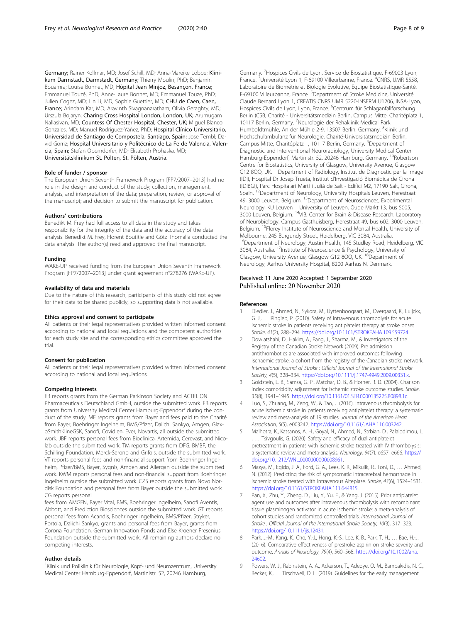<span id="page-7-0"></span>Germany; Rainer Kollmar, MD; Josef Schill, MD; Anna-Mareike Löbbe; Klinikum Darmstadt, Darmstadt, Germany; Thierry Moulin, PhD; Benjamin Bouamra; Louise Bonnet, MD; Hôpital Jean Minjoz, Besançon, France; Emmanuel Touzé, PhD; Anne-Laure Bonnet, MD; Emmanuel Touze, PhD; Julien Cogez, MD; Lin Li, MD; Sophie Guettier, MD; CHU de Caen, Caen, France; Arindam Kar, MD; Aravinth Sivagnanaratham; Olivia Geraghty, MD; Urszula Bojaryn; Charing Cross Hospital London, London, UK; Arumugam Nallasivan, MD; Countess Of Chester Hospital, Chester, UK; Miguel Blanco Gonzales, MD; Manuel Rodríguez-Yáñez, PhD; Hospital Clínico Universitario, Universidad de Santiago de Compostela, Santiago, Spain; Jose Tembl; David Gorriz; Hospital Universitario y Politécnico de La Fe de Valencia, Valencia, Spain; Stefan Oberndorfer, MD; Elisabeth Prohaska, MD; Universitätsklinikum St. Pölten, St. Pölten, Austria.

#### Role of funder / sponsor

The European Union Seventh Framework Program [FP7/2007–2013] had no role in the design and conduct of the study; collection, management, analysis, and interpretation of the data; preparation, review, or approval of the manuscript; and decision to submit the manuscript for publication.

#### Authors' contributions

Benedikt M. Frey had full access to all data in the study and takes responsibility for the integrity of the data and the accuracy of the data analysis. Benedikt M. Frey, Florent Boutitie and Götz Thomalla conducted the data analysis. The author(s) read and approved the final manuscript.

#### Funding

WAKE-UP received funding from the European Union Seventh Framework Program [FP7/2007–2013] under grant agreement n°278276 (WAKE-UP).

#### Availability of data and materials

Due to the nature of this research, participants of this study did not agree for their data to be shared publicly, so supporting data is not available.

#### Ethics approval and consent to participate

All patients or their legal representatives provided written informed consent according to national and local regulations and the competent authorities for each study site and the corresponding ethics committee approved the trial.

#### Consent for publication

All patients or their legal representatives provided written informed consent according to national and local regulations.

#### Competing interests

EB reports grants from the German Parkinson Society and ACTELION Pharmaceuticals Deutschland GmbH, outside the submitted work. FB reports grants from University Medical Center Hamburg-Eppendorf during the conduct of the study. ME reports grants from Bayer and fees paid to the Charité from Bayer, Boehringer Ingelheim, BMS/Pfizer, Daiichi Sankyo, Amgen, GlaxoSmithKlineGSK, Sanofi, Covidien, Ever, Novartis, all outside the submitted work. JBF reports personal fees from Bioclinica, Artemida, Cerevast, and Nicolab outside the submitted work. TM reports grants from DFG, BMBF, the Schilling Foundation, Merck-Serono and Grifols, outside the submitted work. VT reports personal fees and non-financial support from Boehringer Ingelheim, Pfizer/BMS, Bayer, Sygnis, Amgen and Allergan outside the submitted work. KWM reports personal fees and non-financial support from Boehringer Ingelheim outside the submitted work. CZS reports grants from Novo Nordisk Foundation and personal fees from Bayer outside the submitted work. CG reports personal.

fees from AMGEN, Bayer Vital, BMS, Boehringer Ingelheim, Sanofi Aventis, Abbott, and Prediction Biosciences outside the submitted work. GT reports personal fees from Acandis, Boehringer Ingelheim, BMS/Pfizer, Stryker, Portola, Daiichi Sankyo, grants and personal fees from Bayer, grants from Corona Foundation, German Innovation Fonds and Else Kroener Fresenius Foundation outside the submitted work. All remaining authors declare no competing interests.

#### Author details

<sup>1</sup> Klinik und Poliklinik für Neurologie, Kopf- und Neurozentrum, University Medical Center Hamburg-Eppendorf, Martinistr. 52, 20246 Hamburg,

Germany. <sup>2</sup>Hospices Civils de Lyon, Service de Biostatistique, F-69003 Lyon, France.<sup>3</sup>Université Lyon 1, F-69100 Villeurbanne, France. <sup>4</sup>CNRS, UMR 5558 Laboratoire de Biométrie et Biologie Evolutive, Equipe Biostatistique-Santé, F-69100 Villeurbanne, France. <sup>5</sup>Department of Stroke Medicine, Université Claude Bernard Lyon 1, CREATIS CNRS UMR 5220-INSERM U1206, INSA-Lyon, Hospices Civils de Lyon, Lyon, France. <sup>6</sup>Centrum für Schlaganfallforschung Berlin (CSB, Charité - Universitätsmedizin Berlin, Campus Mitte, Charitéplatz 1, 10117 Berlin, Germany. <sup>7</sup>Neurologie der Rehaklinik Medical Park Humboldtmühle, An der Mühle 2-9, 13507 Berlin, Germany. <sup>8</sup>Klinik und Hochschulambulanz für Neurologie, Charité-Universitätsmedizin Berlin, Campus Mitte, Charitéplatz 1, 10117 Berlin, Germany. <sup>9</sup>Department of Diagnostic and Interventional Neuroradiology, University Medical Center Hamburg-Eppendorf, Martinistr. 52, 20246 Hamburg, Germany. <sup>10</sup>Robertson Centre for Biostatistics, University of Glasgow, University Avenue, Glasgow G12 8QQ, UK. 11Department of Radiology, Institut de Diagnostic per la Image (IDI), Hospital Dr Josep Trueta, Institut d'Investigació Biomèdica de Girona (IDIBGI), Parc Hospitalari Martí i Julià de Salt - Edifici M2, 17190 Salt, Girona, Spain. 12Department of Neurology, University Hospitals Leuven, Herestraat 49, 3000 Leuven, Belgium. <sup>13</sup>Department of Neurosciences, Experimental Neurology, KU Leuven – University of Leuven, Oude Markt 13, bus 5005, 3000 Leuven, Belgium. 14VIB, Center for Brain & Disease Research, Laboratory of Neurobiology, Campus Gasthuisberg, Herestraat 49, bus 602, 3000 Leuven, Belgium. 15Florey Institute of Neuroscience and Mental Health, University of Melbourne, 245 Burgundy Street, Heidelberg, VIC 3084, Australia. <sup>16</sup>Department of Neurology, Austin Health, 145 Studley Road, Heidelberg, VIC 3084, Australia. <sup>17</sup>Institute of Neuroscience & Psychology, University of Glasgow, University Avenue, Glasgow G12 8QQ, UK. <sup>18</sup>Department of Neurology, Aarhus University Hospital, 8200 Aarhus N, Denmark.

#### Received: 11 June 2020 Accepted: 1 September 2020 Published online: 20 November 2020

#### References

- 1. Diedler, J., Ahmed, N., Sykora, M., Uyttenboogaart, M., Overgaard, K., Luijckx, G. J., … Ringleb, P. (2010). Safety of intravenous thrombolysis for acute ischemic stroke in patients receiving antiplatelet therapy at stroke onset. Stroke, 41(2), 288–294. [https://doi.org/10.1161/STROKEAHA.109.559724.](https://doi.org/10.1161/STROKEAHA.109.559724)
- 2. Dowlatshahi, D., Hakim, A., Fang, J., Sharma, M., & Investigators of the Registry of the Canadian Stroke Network (2009). Pre admission antithrombotics are associated with improved outcomes following ischaemic stroke: a cohort from the registry of the Canadian stroke network. International Journal of Stroke : Official Journal of the International Stroke Society, 4(5), 328–334. [https://doi.org/10.1111/j.1747-4949.2009.00331.x.](https://doi.org/10.1111/j.1747-4949.2009.00331.x)
- 3. Goldstein, L. B., Samsa, G. P., Matchar, D. B., & Horner, R. D. (2004). Charlson index comorbidity adjustment for ischemic stroke outcome studies. Stroke, 35(8), 1941–1945. <https://doi.org/10.1161/01.STR.0000135225.80898.1c>.
- 4. Luo, S., Zhuang, M., Zeng, W., & Tao, J. (2016). Intravenous thrombolysis for acute ischemic stroke in patients receiving antiplatelet therapy: a systematic review and meta-analysis of 19 studies. Journal of the American Heart Association, 5(5), e003242. <https://doi.org/10.1161/JAHA.116.003242>.
- 5. Malhotra, K., Katsanos, A. H., Goyal, N., Ahmed, N., Strbian, D., Palaiodimou, L. , … Tsivgoulis, G. (2020). Safety and efficacy of dual antiplatelet pretreatment in patients with ischemic stroke treated with IV thrombolysis: a systematic review and meta-analysis. Neurology, 94(7), e657–e666. [https://](https://doi.org/10.1212/WNL.0000000000008961) [doi.org/10.1212/WNL.0000000000008961.](https://doi.org/10.1212/WNL.0000000000008961)
- Mazya, M., Egido, J. A., Ford, G. A., Lees, K. R., Mikulik, R., Toni, D., ... Ahmed, N. (2012). Predicting the risk of symptomatic intracerebral hemorrhage in ischemic stroke treated with intravenous Alteplase. Stroke, 43(6), 1524–1531. <https://doi.org/10.1161/STROKEAHA.111.644815>.
- 7. Pan, X., Zhu, Y., Zheng, D., Liu, Y., Yu, F., & Yang, J. (2015). Prior antiplatelet agent use and outcomes after intravenous thrombolysis with recombinant tissue plasminogen activator in acute ischemic stroke: a meta-analysis of cohort studies and randomized controlled trials. International Journal of Stroke : Official Journal of the International Stroke Society, 10(3), 317–323. [https://doi.org/10.1111/ijs.12431.](https://doi.org/10.1111/ijs.12431)
- 8. Park, J.-M., Kang, K., Cho, Y.-J., Hong, K.-S., Lee, K. B., Park, T. H., … Bae, H.-J. (2016). Comparative effectiveness of prestroke aspirin on stroke severity and outcome. Annals of Neurology, 79(4), 560–568. [https://doi.org/10.1002/ana.](https://doi.org/10.1002/ana.24602) [24602.](https://doi.org/10.1002/ana.24602)
- 9. Powers, W. J., Rabinstein, A. A., Ackerson, T., Adeoye, O. M., Bambakidis, N. C., Becker, K., … Tirschwell, D. L. (2019). Guidelines for the early management